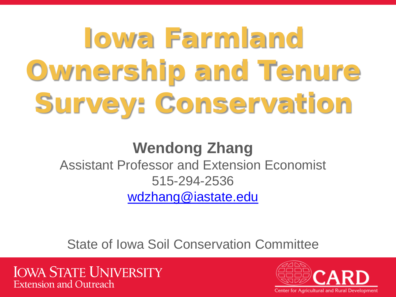# Iowa Farmland Ownership and Tenure Survey: Conservation

### **Wendong Zhang** Assistant Professor and Extension Economist 515-294-2536 [wdzhang@iastate.edu](mailto:wdzhang@iastate.edu)

State of Iowa Soil Conservation Committee

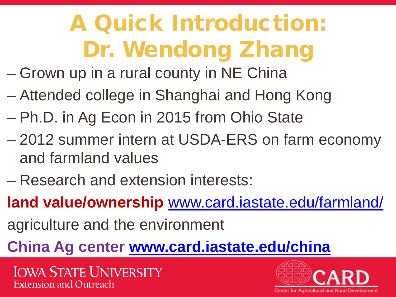# A Quick Introduction: Dr. Wendong Zhang

- Grown up in a rural county in NE China
- Attended college in Shanghai and Hong Kong
- Ph.D. in Ag Econ in 2015 from Ohio State
- 2012 summer intern at USDA-ERS on farm economy and farmland values
- Research and extension interests:
- **land value/ownership** [www.card.iastate.edu/farmland/](http://card.iastate.edu/farmland/)
- agriculture and the environment
- **China Ag center [www.card.iastate.edu/china](http://www.card.iastate.edu/china)**

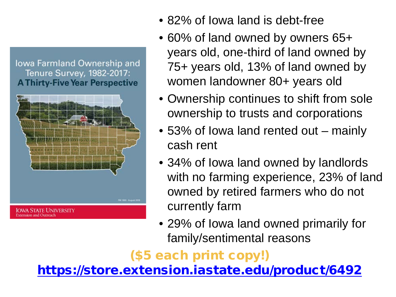lowa Farmland Ownership and Tenure Survey, 1982-2017: **A Thirty-Five Year Perspective** 



- 82% of lowa land is debt-free
- 60% of land owned by owners 65+ years old, one-third of land owned by 75+ years old, 13% of land owned by women landowner 80+ years old
- Ownership continues to shift from sole ownership to trusts and corporations
- 53% of lowa land rented out mainly cash rent
- 34% of Iowa land owned by landlords with no farming experience, 23% of land owned by retired farmers who do not currently farm
- 29% of Iowa land owned primarily for family/sentimental reasons

### (\$5 each print copy!)

<https://store.extension.iastate.edu/product/6492>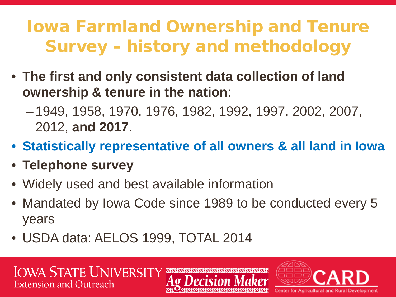### Iowa Farmland Ownership and Tenure Survey – history and methodology

- **The first and only consistent data collection of land ownership & tenure in the nation**:
	- 1949, 1958, 1970, 1976, 1982, 1992, 1997, 2002, 2007, 2012, **and 2017**.
- **Statistically representative of all owners & all land in Iowa**
- **Telephone survey**
- Widely used and best available information
- Mandated by Iowa Code since 1989 to be conducted every 5 years
- USDA data: AELOS 1999, TOTAL 2014

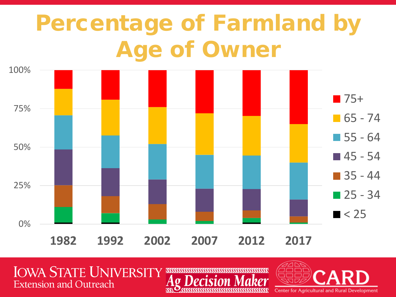# Percentage of Farmland by Age of Owner



**IOWA STATE UNIVERSITY Extension and Outreach** 

**Center for Agricultural and Rural Development** 

:sssssss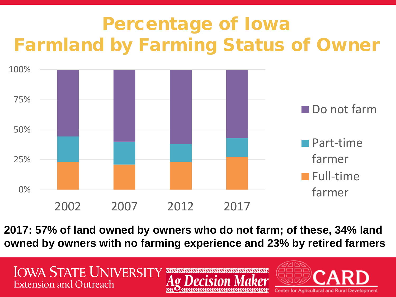## Percentage of Iowa Farmland by Farming Status of Owner



**2017: 57% of land owned by owners who do not farm; of these, 34% land owned by owners with no farming experience and 23% by retired farmers**

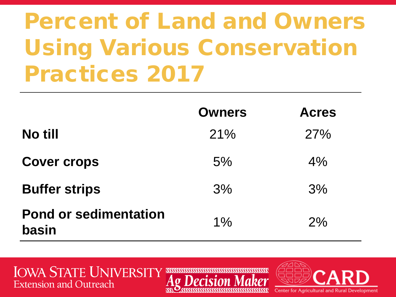# Percent of Land and Owners Using Various Conservation Practices 2017

|                                       | <b>Owners</b> | <b>Acres</b> |
|---------------------------------------|---------------|--------------|
| No till                               | 21%           | 27%          |
| <b>Cover crops</b>                    | 5%            | 4%           |
| <b>Buffer strips</b>                  | 3%            | 3%           |
| <b>Pond or sedimentation</b><br>basin | $1\%$         | 2%           |

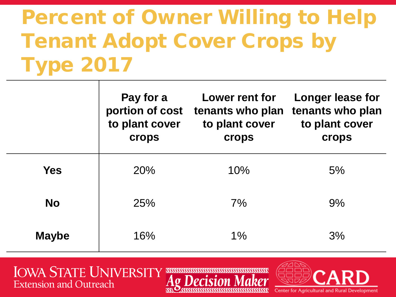## Percent of Owner Willing to Help Tenant Adopt Cover Crops by Type 2017

|              | Pay for a<br>portion of cost<br>to plant cover<br>crops | Lower rent for<br>tenants who plan<br>to plant cover<br>crops | Longer lease for<br>tenants who plan<br>to plant cover<br>crops |
|--------------|---------------------------------------------------------|---------------------------------------------------------------|-----------------------------------------------------------------|
| <b>Yes</b>   | 20%                                                     | 10%                                                           | 5%                                                              |
| <b>No</b>    | 25%                                                     | 7%                                                            | 9%                                                              |
| <b>Maybe</b> | 16%                                                     | 1%                                                            | 3%                                                              |

**SSSSSS** 

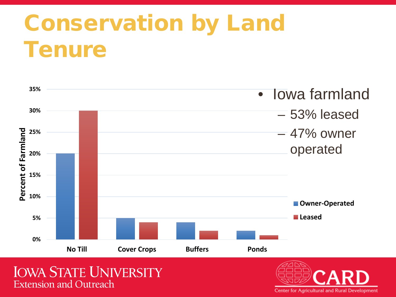# Conservation by Land **Tenure**



**Extension and Outreach** 

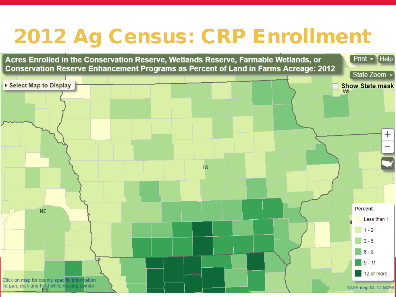## 2012 Ag Census: CRP Enrollment

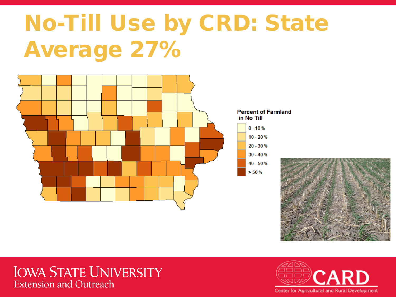# No-Till Use by CRD: State Average 27%



#### **Percent of Farmland** in No Till

| $0 - 10%$  |
|------------|
| $10 - 20%$ |
| $20 - 30%$ |
| $30 - 40%$ |
| 40 - 50 %  |
| > 50 %     |



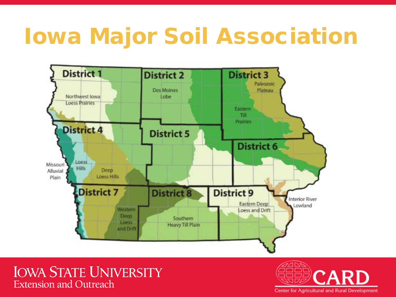## Iowa Major Soil Association



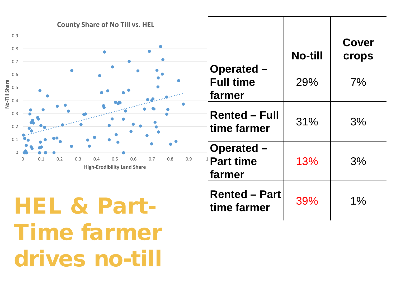

HEL & Part-Time farmer drives no-till

**Rented – Part**   $\begin{array}{|c|c|c|c|c|}\n \hline\n \text{time farmer} & 39\% & 1\% \n \end{array}$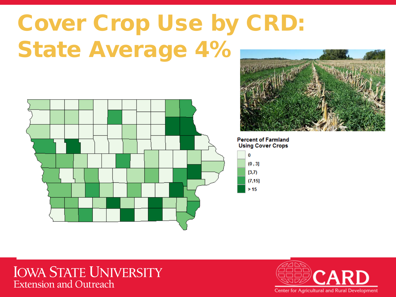# Cover Crop Use by CRD: State Average 4%





**Percent of Farmland Using Cover Crops** 

| 0       |
|---------|
| (0, 3]  |
| [3,7)   |
| (7, 15] |
| > 15    |

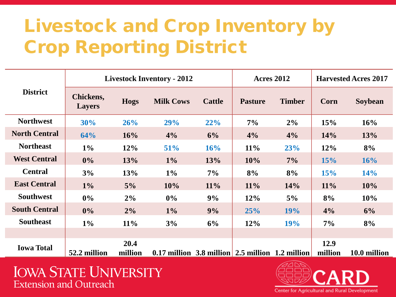## Livestock and Crop Inventory by Crop Reporting District

| <b>District</b>      | <b>Livestock Inventory - 2012</b> |             |                                                    | <b>Acres 2012</b> |                | <b>Harvested Acres 2017</b> |         |              |
|----------------------|-----------------------------------|-------------|----------------------------------------------------|-------------------|----------------|-----------------------------|---------|--------------|
|                      | <b>Chickens,</b><br><b>Layers</b> | <b>Hogs</b> | <b>Milk Cows</b>                                   | <b>Cattle</b>     | <b>Pasture</b> | <b>Timber</b>               | Corn    | Soybean      |
| <b>Northwest</b>     | 30%                               | 26%         | 29%                                                | 22%               | 7%             | $2\%$                       | 15%     | 16%          |
| <b>North Central</b> | 64%                               | 16%         | 4%                                                 | 6%                | 4%             | 4%                          | 14%     | <b>13%</b>   |
| <b>Northeast</b>     | $1\%$                             | 12%         | 51%                                                | 16%               | 11%            | 23%                         | 12%     | 8%           |
| <b>West Central</b>  | $0\%$                             | 13%         | $1\%$                                              | 13%               | 10%            | 7%                          | 15%     | 16%          |
| <b>Central</b>       | 3%                                | 13%         | $1\%$                                              | 7%                | 8%             | 8%                          | 15%     | 14%          |
| <b>East Central</b>  | $1\%$                             | 5%          | 10%                                                | $11\%$            | 11%            | 14%                         | 11%     | 10%          |
| <b>Southwest</b>     | $0\%$                             | 2%          | $0\%$                                              | 9%                | 12%            | $5\%$                       | 8%      | 10%          |
| <b>South Central</b> | $0\%$                             | 2%          | $1\%$                                              | 9%                | 25%            | 19%                         | 4%      | 6%           |
| <b>Southeast</b>     | $1\%$                             | 11%         | 3%                                                 | 6%                | 12%            | 19%                         | 7%      | 8%           |
|                      |                                   |             |                                                    |                   |                |                             |         |              |
| <b>Iowa Total</b>    |                                   | 20.4        |                                                    |                   |                |                             | 12.9    |              |
|                      | 52.2 million                      | million     | $0.17$ million 3.8 million 2.5 million 1.2 million |                   |                |                             | million | 10.0 million |

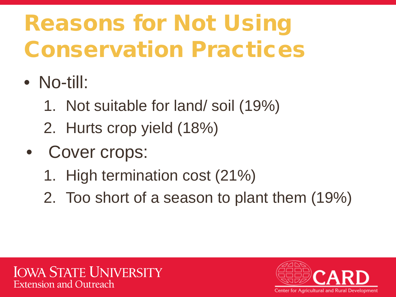# Reasons for Not Using Conservation Practices

- No-till:
	- 1. Not suitable for land/ soil (19%)
	- 2. Hurts crop yield (18%)
- Cover crops:
	- 1. High termination cost (21%)
	- 2. Too short of a season to plant them (19%)

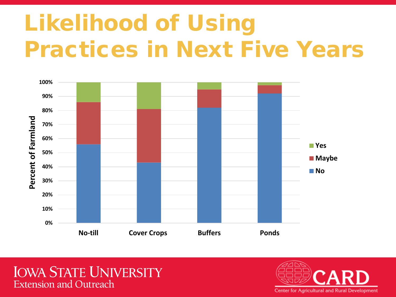# Likelihood of Using Practices in Next Five Years



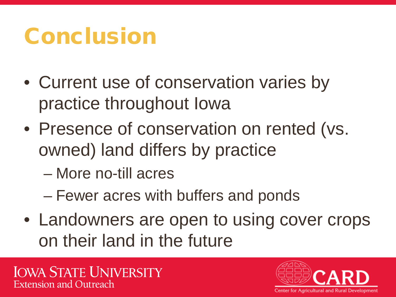## Conclusion

- Current use of conservation varies by practice throughout Iowa
- Presence of conservation on rented (vs. owned) land differs by practice
	- More no-till acres
	- Fewer acres with buffers and ponds
- Landowners are open to using cover crops on their land in the future